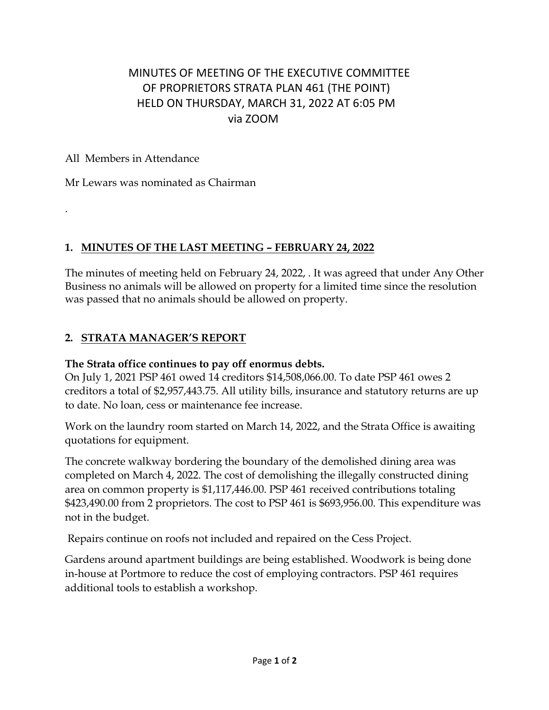# MINUTES OF MEETING OF THE EXECUTIVE COMMITTEE OF PROPRIETORS STRATA PLAN 461 (THE POINT) HELD ON THURSDAY, MARCH 31, 2022 AT 6:05 PM via ZOOM

#### All Members in Attendance

.

Mr Lewars was nominated as Chairman

### **1. MINUTES OF THE LAST MEETING – FEBRUARY 24, 2022**

The minutes of meeting held on February 24, 2022, . It was agreed that under Any Other Business no animals will be allowed on property for a limited time since the resolution was passed that no animals should be allowed on property.

### **2. STRATA MANAGER'S REPORT**

#### **The Strata office continues to pay off enormus debts.**

On July 1, 2021 PSP 461 owed 14 creditors \$14,508,066.00. To date PSP 461 owes 2 creditors a total of \$2,957,443.75. All utility bills, insurance and statutory returns are up to date. No loan, cess or maintenance fee increase.

Work on the laundry room started on March 14, 2022, and the Strata Office is awaiting quotations for equipment.

The concrete walkway bordering the boundary of the demolished dining area was completed on March 4, 2022. The cost of demolishing the illegally constructed dining area on common property is \$1,117,446.00. PSP 461 received contributions totaling \$423,490.00 from 2 proprietors. The cost to PSP 461 is \$693,956.00. This expenditure was not in the budget.

Repairs continue on roofs not included and repaired on the Cess Project.

Gardens around apartment buildings are being established. Woodwork is being done in-house at Portmore to reduce the cost of employing contractors. PSP 461 requires additional tools to establish a workshop.